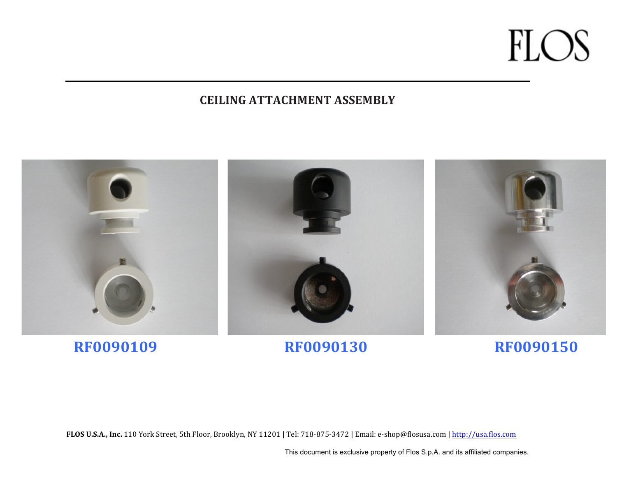#### **CEILING ATTACHMENT ASSEMBLY**



FLOS U.S.A., Inc. 110 York Street, 5th Floor, Brooklyn, NY 11201 | Tel: 718-875-3472 | Email: e-shop@flosusa.com | http://usa.flos.com

This document is exclusive property of Flos S.p.A. and its affiliated companies.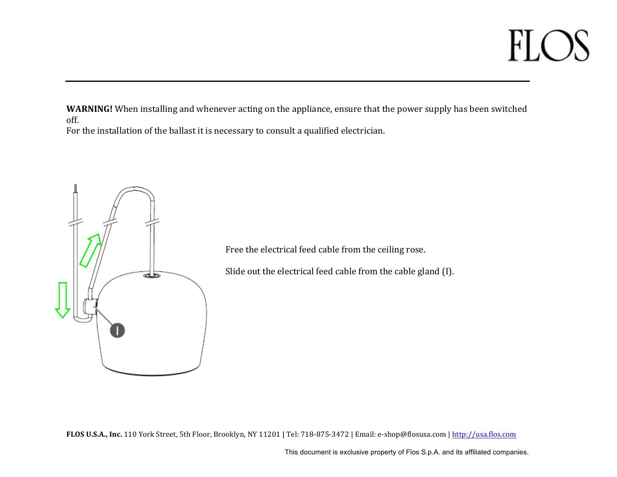**WARNING!** When installing and whenever acting on the appliance, ensure that the power supply has been switched off.

For the installation of the ballast it is necessary to consult a qualified electrician.



Free the electrical feed cable from the ceiling rose.

Slide out the electrical feed cable from the cable gland (I).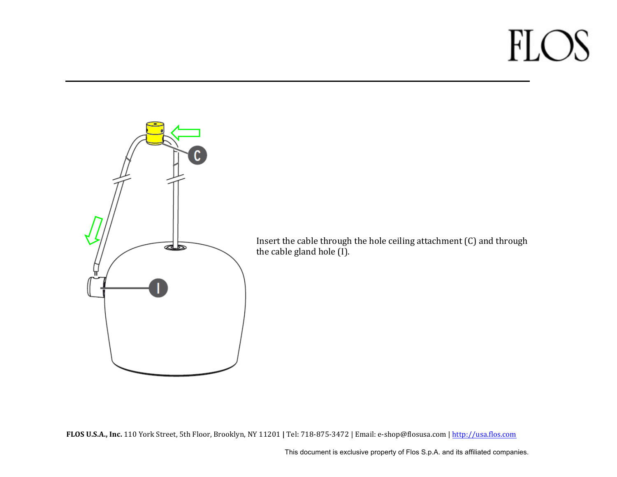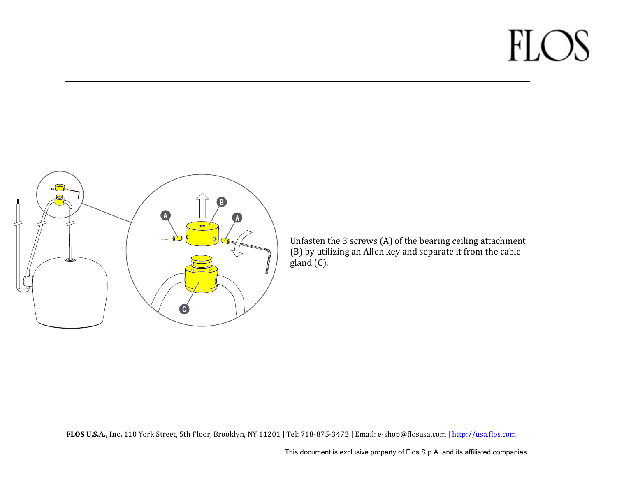

Unfasten the 3 screws (A) of the bearing ceiling attachment (B) by utilizing an Allen key and separate it from the cable  $g$ land  $(C)$ .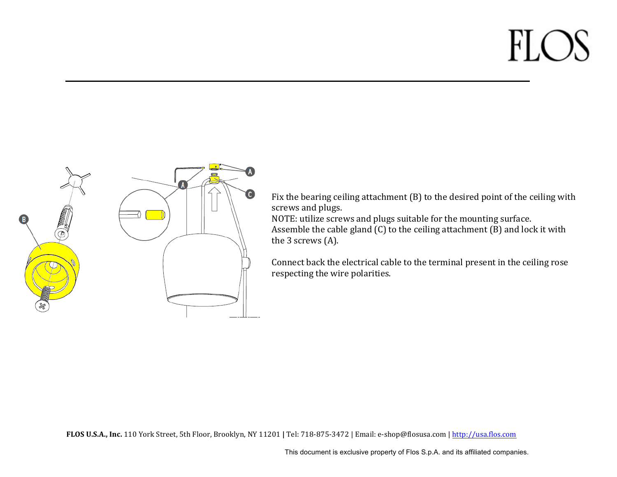

Fix the bearing ceiling attachment  $(B)$  to the desired point of the ceiling with screws and plugs.

NOTE: utilize screws and plugs suitable for the mounting surface. Assemble the cable gland  $(C)$  to the ceiling attachment  $(B)$  and lock it with the  $3$  screws  $(A)$ .

Connect back the electrical cable to the terminal present in the ceiling rose respecting the wire polarities.